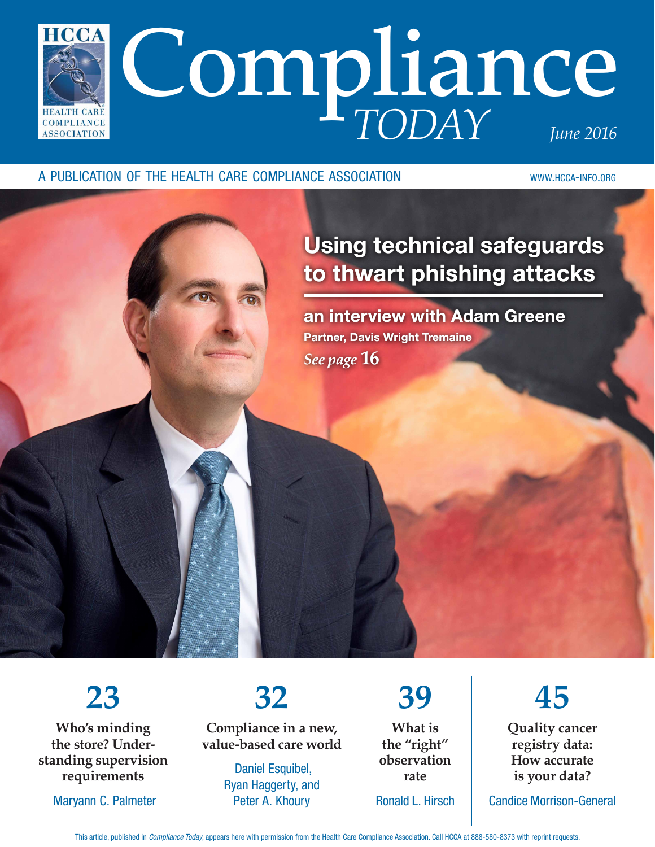

## a publication of the health care compliance association www.hcca-info.org

## Using technical safeguards to thwart phishing attacks

an interview with Adam Greene Partner, Davis Wright Tremaine *See page* **16**

**23**

**Who's minding the store? Understanding supervision requirements**

Maryann C. Palmeter

## **32 Compliance in a new,**

**value-based care world**

 Daniel Esquibel, Ryan Haggerty, and Peter A. Khoury

**39 What is the "right" observation rate** Ronald L. Hirsch

**45 Quality cancer registry data: How accurate is your data?** 

Candice Morrison-General

This article, published in *Compliance Today*, appears here with permission from the Health Care Compliance Association. Call HCCA at 888-580-8373 with reprint requests.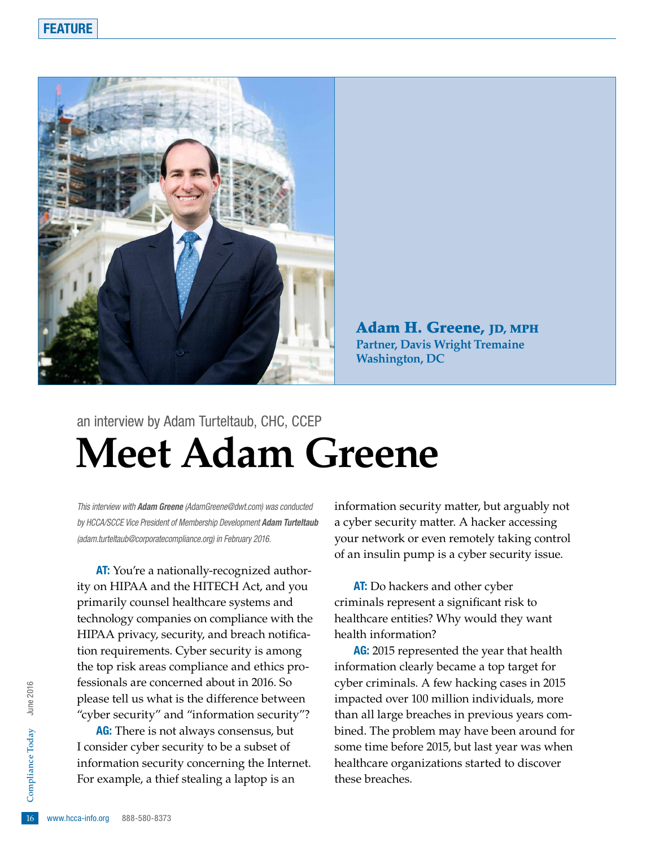

Adam H. Greene, JD, MPH **Partner, Davis Wright Tremaine Washington, DC**

## an interview by Adam Turteltaub, CHC, CCEP **Meet Adam Greene**

*This interview with Adam Greene (AdamGreene@dwt.com) was conducted by HCCA/SCCE Vice President of Membership Development Adam Turteltaub (adam.turteltaub@corporatecompliance.org) in February 2016.*

AT: You're a nationally-recognized authority on HIPAA and the HITECH Act, and you primarily counsel healthcare systems and technology companies on compliance with the HIPAA privacy, security, and breach notification requirements. Cyber security is among the top risk areas compliance and ethics professionals are concerned about in 2016. So please tell us what is the difference between "cyber security" and "information security"?

endian information secure<br>
16 For example, a this<br>
16 www.hcca-info.org 888-580-8373 AG: There is not always consensus, but I consider cyber security to be a subset of information security concerning the Internet. For example, a thief stealing a laptop is an

information security matter, but arguably not a cyber security matter. A hacker accessing your network or even remotely taking control of an insulin pump is a cyber security issue.

**AT:** Do hackers and other cyber criminals represent a significant risk to healthcare entities? Why would they want health information?

**AG:** 2015 represented the year that health information clearly became a top target for cyber criminals. A few hacking cases in 2015 impacted over 100 million individuals, more than all large breaches in previous years combined. The problem may have been around for some time before 2015, but last year was when healthcare organizations started to discover these breaches.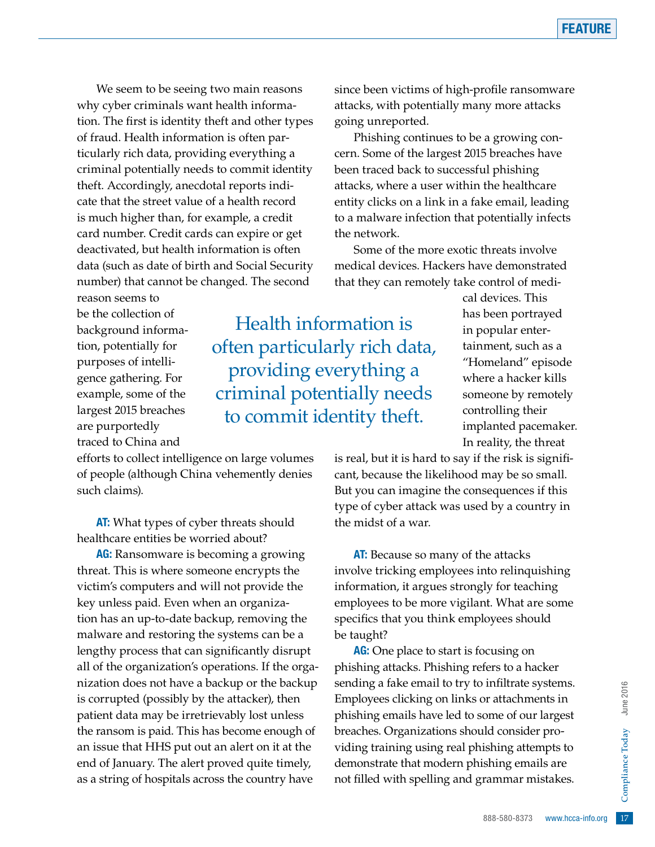We seem to be seeing two main reasons why cyber criminals want health information. The first is identity theft and other types of fraud. Health information is often particularly rich data, providing everything a criminal potentially needs to commit identity theft. Accordingly, anecdotal reports indicate that the street value of a health record is much higher than, for example, a credit card number. Credit cards can expire or get deactivated, but health information is often data (such as date of birth and Social Security number) that cannot be changed. The second

reason seems to be the collection of background information, potentially for purposes of intelligence gathering. For example, some of the largest 2015 breaches are purportedly traced to China and

Health information is often particularly rich data, providing everything a criminal potentially needs to commit identity theft.

since been victims of high-profile ransomware attacks, with potentially many more attacks going unreported.

Phishing continues to be a growing concern. Some of the largest 2015 breaches have been traced back to successful phishing attacks, where a user within the healthcare entity clicks on a link in a fake email, leading to a malware infection that potentially infects the network.

Some of the more exotic threats involve medical devices. Hackers have demonstrated that they can remotely take control of medi-

> cal devices. This has been portrayed in popular entertainment, such as a "Homeland" episode where a hacker kills someone by remotely controlling their implanted pacemaker. In reality, the threat

efforts to collect intelligence on large volumes of people (although China vehemently denies such claims).

AT: What types of cyber threats should healthcare entities be worried about?

AG: Ransomware is becoming a growing threat. This is where someone encrypts the victim's computers and will not provide the key unless paid. Even when an organization has an up-to-date backup, removing the malware and restoring the systems can be a lengthy process that can significantly disrupt all of the organization's operations. If the organization does not have a backup or the backup is corrupted (possibly by the attacker), then patient data may be irretrievably lost unless the ransom is paid. This has become enough of an issue that HHS put out an alert on it at the end of January. The alert proved quite timely, as a string of hospitals across the country have

is real, but it is hard to say if the risk is significant, because the likelihood may be so small. But you can imagine the consequences if this type of cyber attack was used by a country in the midst of a war.

AT: Because so many of the attacks involve tricking employees into relinquishing information, it argues strongly for teaching employees to be more vigilant. What are some specifics that you think employees should be taught?

Fund the systems.<br>
Some of our largest<br>
and consider pro-<br>
ishing attempts to<br>
ishing emails are<br>
rammar mistakes.<br>  $\begin{bmatrix}\n\text{a} & \text{b} \\
\text{c} & \text{c} \\
\text{d} & \text{d} \\
\text{d} & \text{e}\n\end{bmatrix}$ <br>
888-580-8373 www.hcca-info.org 17 AG: One place to start is focusing on phishing attacks. Phishing refers to a hacker sending a fake email to try to infiltrate systems. Employees clicking on links or attachments in phishing emails have led to some of our largest breaches. Organizations should consider providing training using real phishing attempts to demonstrate that modern phishing emails are not filled with spelling and grammar mistakes.